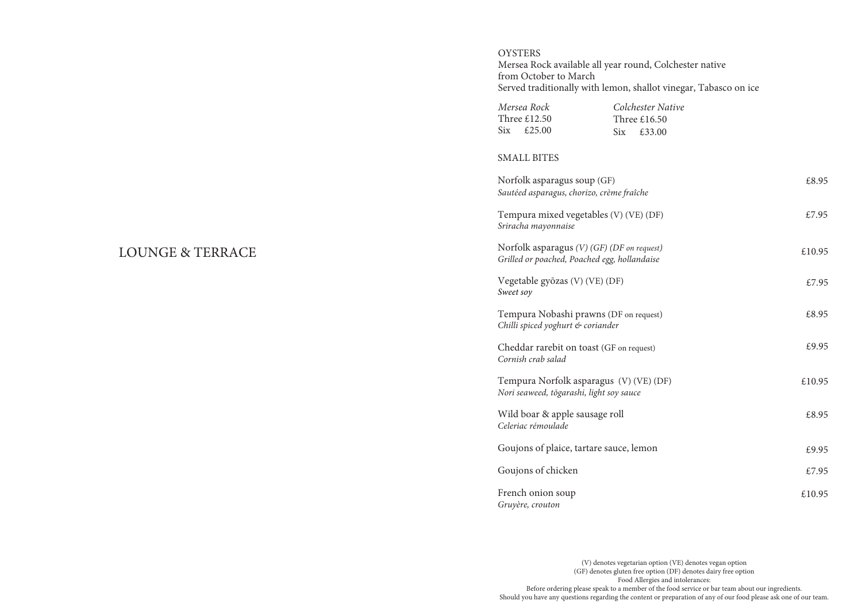# **OYSTERS** Mersea Rock available all year round, Colchester native from October to March Served traditionally with lemon, shallot vinegar, Tabasco on ice

| Mersea Rock         | Colchester Native            |
|---------------------|------------------------------|
| Three £12.50        | Three $£16.50$               |
| $\text{Six}$ £25.00 | $\text{Six}$ $\text{£}33.00$ |

#### SMALL BITES

| Norfolk asparagus soup (GF)<br>Sautéed asparagus, chorizo, crème fraîche                     | £8.95  |
|----------------------------------------------------------------------------------------------|--------|
| Tempura mixed vegetables (V) (VE) (DF)<br>Sriracha mayonnaise                                | £7.95  |
| Norfolk asparagus $(V)$ (GF) (DF on request)<br>Grilled or poached, Poached egg, hollandaise | £10.95 |
| Vegetable gyōzas (V) (VE) (DF)<br>Sweet soy                                                  | £7.95  |
| Tempura Nobashi prawns (DF on request)<br>Chilli spiced yoghurt & coriander                  | £8.95  |
| Cheddar rarebit on toast (GF on request)<br>Cornish crab salad                               | £9.95  |
| Tempura Norfolk asparagus (V) (VE) (DF)<br>Nori seaweed, tōgarashi, light soy sauce          | £10.95 |
| Wild boar & apple sausage roll<br>Celeriac rémoulade                                         | £8.95  |
| Goujons of plaice, tartare sauce, lemon                                                      | £9.95  |
| Goujons of chicken                                                                           | £7.95  |
| French onion soup<br>Gruyère, crouton                                                        | £10.95 |

(V) denotes vegetarian option (VE) denotes vegan option (GF) denotes gluten free option (DF) denotes dairy free option Food Allergies and intolerances: Before ordering please speak to a member of the food service or bar team about our ingredients. Should you have any questions regarding the content or preparation of any of our food please ask one of our team.

# LOUNGE & TERRACE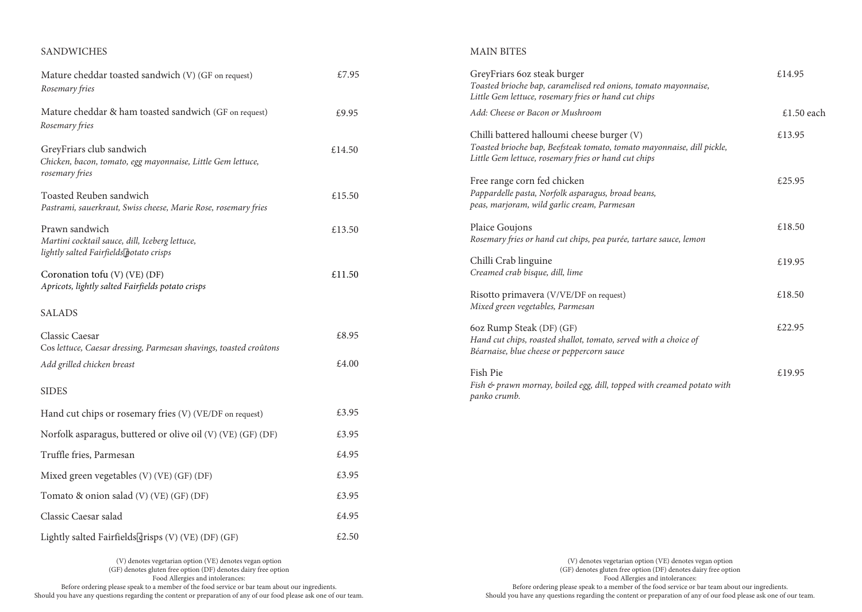# SANDWICHES

# MAIN BITES

| Mature cheddar toasted sandwich (V) (GF on request)<br>Rosemary fries                                       | £7.95  | GreyFriars 6oz steak burger<br>Toasted brioche bap, caramelised red onions, tomato mayonnaise,<br>Little Gem lettuce, rosemary fries or hand cut chips                       | £14.95     |
|-------------------------------------------------------------------------------------------------------------|--------|------------------------------------------------------------------------------------------------------------------------------------------------------------------------------|------------|
| Mature cheddar & ham toasted sandwich (GF on request)                                                       | £9.95  | Add: Cheese or Bacon or Mushroom                                                                                                                                             | £1.50 each |
| Rosemary fries<br>GreyFriars club sandwich<br>Chicken, bacon, tomato, egg mayonnaise, Little Gem lettuce,   | £14.50 | Chilli battered halloumi cheese burger (V)<br>Toasted brioche bap, Beefsteak tomato, tomato mayonnaise, dill pickle,<br>Little Gem lettuce, rosemary fries or hand cut chips | £13.95     |
| rosemary fries<br>Toasted Reuben sandwich<br>Pastrami, sauerkraut, Swiss cheese, Marie Rose, rosemary fries | £15.50 | Free range corn fed chicken<br>Pappardelle pasta, Norfolk asparagus, broad beans,<br>peas, marjoram, wild garlic cream, Parmesan                                             | £25.95     |
| Prawn sandwich<br>Martini cocktail sauce, dill, Iceberg lettuce,                                            | £13.50 | Plaice Goujons<br>Rosemary fries or hand cut chips, pea purée, tartare sauce, lemon                                                                                          | £18.50     |
| lightly salted Fairfields potato crisps<br>Coronation tofu (V) (VE) (DF)                                    | £11.50 | Chilli Crab linguine<br>Creamed crab bisque, dill, lime                                                                                                                      | £19.95     |
| Apricots, lightly salted Fairfields potato crisps<br><b>SALADS</b>                                          |        | Risotto primavera (V/VE/DF on request)<br>Mixed green vegetables, Parmesan                                                                                                   | £18.50     |
| Classic Caesar<br>Cos lettuce, Caesar dressing, Parmesan shavings, toasted croûtons                         | £8.95  | 6oz Rump Steak (DF) (GF)<br>Hand cut chips, roasted shallot, tomato, served with a choice of                                                                                 | £22.95     |
| Add grilled chicken breast                                                                                  | £4.00  | Béarnaise, blue cheese or peppercorn sauce<br>Fish Pie                                                                                                                       | £19.95     |
| <b>SIDES</b>                                                                                                |        | Fish & prawn mornay, boiled egg, dill, topped with creamed potato with<br>panko crumb.                                                                                       |            |
| Hand cut chips or rosemary fries (V) (VE/DF on request)                                                     | £3.95  |                                                                                                                                                                              |            |
| Norfolk asparagus, buttered or olive oil (V) (VE) (GF) (DF)                                                 | £3.95  |                                                                                                                                                                              |            |
| Truffle fries, Parmesan                                                                                     | £4.95  |                                                                                                                                                                              |            |
| Mixed green vegetables (V) (VE) (GF) (DF)                                                                   | £3.95  |                                                                                                                                                                              |            |
| Tomato & onion salad (V) (VE) (GF) (DF)                                                                     | £3.95  |                                                                                                                                                                              |            |
| Classic Caesar salad                                                                                        | £4.95  |                                                                                                                                                                              |            |
| Lightly salted Fairfields crisps (V) (VE) (DF) (GF)                                                         | £2.50  |                                                                                                                                                                              |            |
| (V) denotes vegetarian option (VE) denotes vegan option                                                     |        | (V) denotes vegetarian option (VE) denotes vegan option                                                                                                                      |            |

(GF) denotes gluten free option (DF) denotes dairy free option Food Allergies and intolerances: Before ordering please speak to a member of the food service or bar team about our ingredients. Should you have any questions regarding the content or preparation of any of our food please ask one of our team.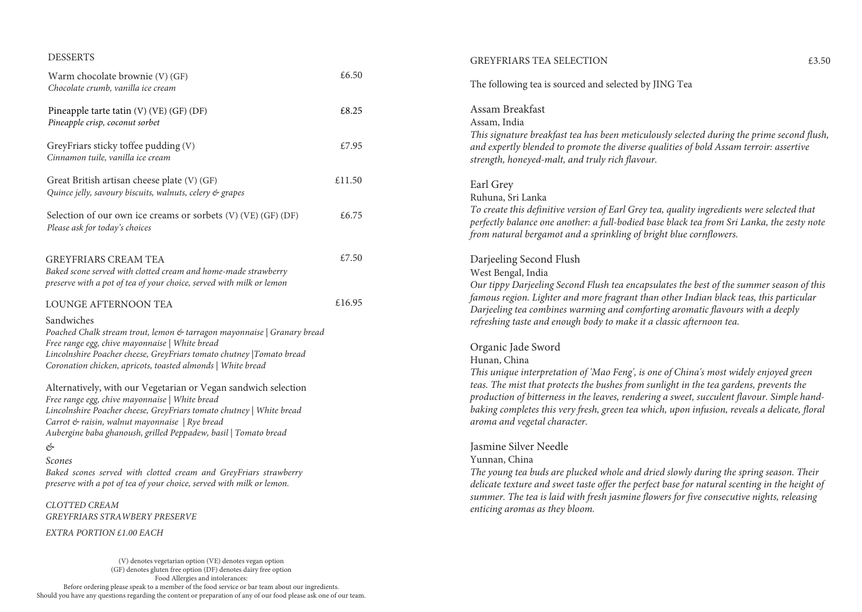#### DESSERTS

| Warm chocolate brownie (V) (GF)<br>Chocolate crumb, vanilla ice cream                                                                                                                                                                                                                                                                                                                                                                                                     | £6.50  |  |
|---------------------------------------------------------------------------------------------------------------------------------------------------------------------------------------------------------------------------------------------------------------------------------------------------------------------------------------------------------------------------------------------------------------------------------------------------------------------------|--------|--|
| Pineapple tarte tatin (V) (VE) (GF) (DF)<br>Pineapple crisp, coconut sorbet                                                                                                                                                                                                                                                                                                                                                                                               | £8.25  |  |
| GreyFriars sticky toffee pudding (V)<br>Cinnamon tuile, vanilla ice cream                                                                                                                                                                                                                                                                                                                                                                                                 | £7.95  |  |
| Great British artisan cheese plate (V) (GF)<br>Quince jelly, savoury biscuits, walnuts, celery & grapes                                                                                                                                                                                                                                                                                                                                                                   | £11.50 |  |
| Selection of our own ice creams or sorbets (V) (VE) (GF) (DF)<br>Please ask for today's choices                                                                                                                                                                                                                                                                                                                                                                           | £6.75  |  |
| <b>GREYFRIARS CREAM TEA</b><br>Baked scone served with clotted cream and home-made strawberry<br>preserve with a pot of tea of your choice, served with milk or lemon                                                                                                                                                                                                                                                                                                     | £7.50  |  |
| LOUNGE AFTERNOON TEA                                                                                                                                                                                                                                                                                                                                                                                                                                                      | £16.95 |  |
| Sandwiches<br>Poached Chalk stream trout, lemon & tarragon mayonnaise   Granary bread<br>Free range egg, chive mayonnaise   White bread<br>Lincolnshire Poacher cheese, GreyFriars tomato chutney  Tomato bread<br>Coronation chicken, apricots, toasted almonds   White bread                                                                                                                                                                                            |        |  |
| Alternatively, with our Vegetarian or Vegan sandwich selection<br>Free range egg, chive mayonnaise   White bread<br>Lincolnshire Poacher cheese, GreyFriars tomato chutney   White bread<br>Carrot & raisin, walnut mayonnaise   Rye bread<br>Aubergine baba ghanoush, grilled Peppadew, basil   Tomato bread<br>&<br>Scones<br>Baked scones served with clotted cream and GreyFriars strawberry<br>preserve with a pot of tea of your choice, served with milk or lemon. |        |  |
| <b>CLOTTED CREAM</b>                                                                                                                                                                                                                                                                                                                                                                                                                                                      |        |  |
| <b>GREYFRIARS STRAWBERY PRESERVE</b>                                                                                                                                                                                                                                                                                                                                                                                                                                      |        |  |
| EXTRA PORTION £1.00 EACH                                                                                                                                                                                                                                                                                                                                                                                                                                                  |        |  |
| (V) denotes vegetarian option (VE) denotes vegan option                                                                                                                                                                                                                                                                                                                                                                                                                   |        |  |

Assam, India *This signature breakfast tea has been meticulously selected during the prime second flush, and expertly blended to promote the diverse qualities of bold Assam terroir: assertive strength, honeyed-malt, and truly rich flavour.* Earl Grey Ruhuna, Sri Lanka *To create this definitive version of Earl Grey tea, quality ingredients were selected that perfectly balance one another: a full-bodied base black tea from Sri Lanka, the zesty note from natural bergamot and a sprinkling of bright blue cornflowers.* Darjeeling Second Flush West Bengal, India *Our tippy Darjeeling Second Flush tea encapsulates the best of the summer season of this famous region. Lighter and more fragrant than other Indian black teas, this particular Darjeeling tea combines warming and comforting aromatic flavours with a deeply refreshing taste and enough body to make it a classic afternoon tea.* Organic Jade Sword Hunan, China *This unique interpretation of 'Mao Feng', is one of China's most widely enjoyed green teas. The mist that protects the bushes from sunlight in the tea gardens, prevents the production of bitterness in the leaves, rendering a sweet, succulent flavour. Simple handbaking completes this very fresh, green tea which, upon infusion, reveals a delicate, floral aroma and vegetal character.* Jasmine Silver Needle Yunnan, China

The following tea is sourced and selected by JING Tea

Assam Breakfast

*The young tea buds are plucked whole and dried slowly during the spring season. Their delicate texture and sweet taste offer the perfect base for natural scenting in the height of summer. The tea is laid with fresh jasmine flowers for five consecutive nights, releasing enticing aromas as they bloom.*

(GF) denotes gluten free option (DF) denotes dairy free option Food Allergies and intolerances: Before ordering please speak to a member of the food service or bar team about our ingredients. Should you have any questions regarding the content or preparation of any of our food please ask one of our team.